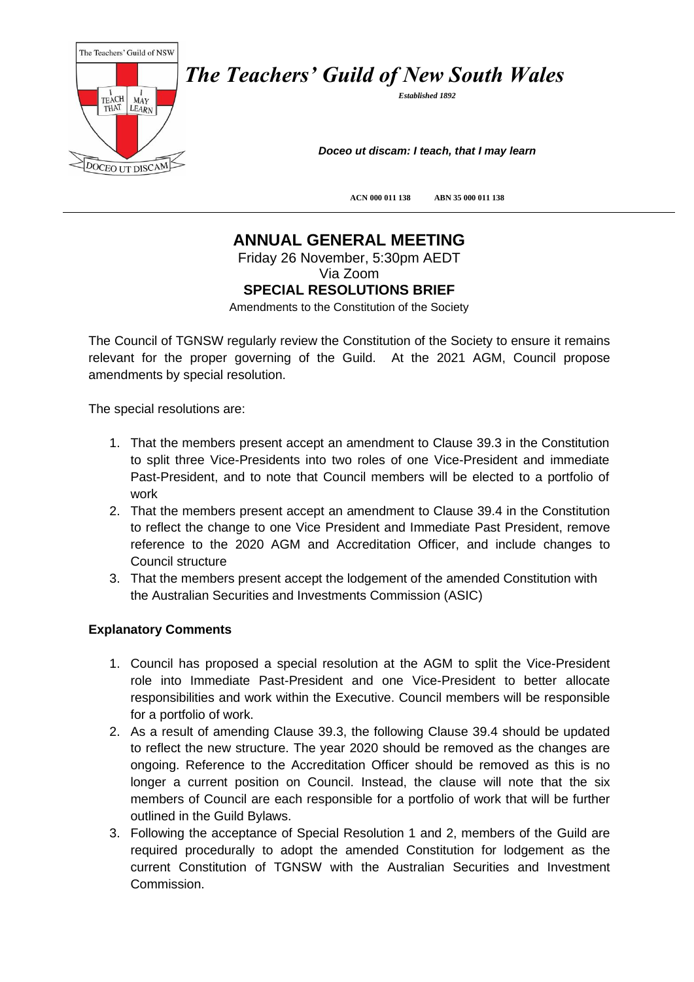

*The Teachers' Guild of New South Wales*

*Established 1892*

*Doceo ut discam: I teach, that I may learn*

**ACN 000 011 138 ABN 35 000 011 138**

## **ANNUAL GENERAL MEETING**

Friday 26 November, 5:30pm AEDT

Via Zoom

## **SPECIAL RESOLUTIONS BRIEF**

Amendments to the Constitution of the Society

The Council of TGNSW regularly review the Constitution of the Society to ensure it remains relevant for the proper governing of the Guild. At the 2021 AGM, Council propose amendments by special resolution.

The special resolutions are:

- 1. That the members present accept an amendment to Clause 39.3 in the Constitution to split three Vice-Presidents into two roles of one Vice-President and immediate Past-President, and to note that Council members will be elected to a portfolio of work
- 2. That the members present accept an amendment to Clause 39.4 in the Constitution to reflect the change to one Vice President and Immediate Past President, remove reference to the 2020 AGM and Accreditation Officer, and include changes to Council structure
- 3. That the members present accept the lodgement of the amended Constitution with the Australian Securities and Investments Commission (ASIC)

## **Explanatory Comments**

- 1. Council has proposed a special resolution at the AGM to split the Vice-President role into Immediate Past-President and one Vice-President to better allocate responsibilities and work within the Executive. Council members will be responsible for a portfolio of work.
- 2. As a result of amending Clause 39.3, the following Clause 39.4 should be updated to reflect the new structure. The year 2020 should be removed as the changes are ongoing. Reference to the Accreditation Officer should be removed as this is no longer a current position on Council. Instead, the clause will note that the six members of Council are each responsible for a portfolio of work that will be further outlined in the Guild Bylaws.
- 3. Following the acceptance of Special Resolution 1 and 2, members of the Guild are required procedurally to adopt the amended Constitution for lodgement as the current Constitution of TGNSW with the Australian Securities and Investment Commission.